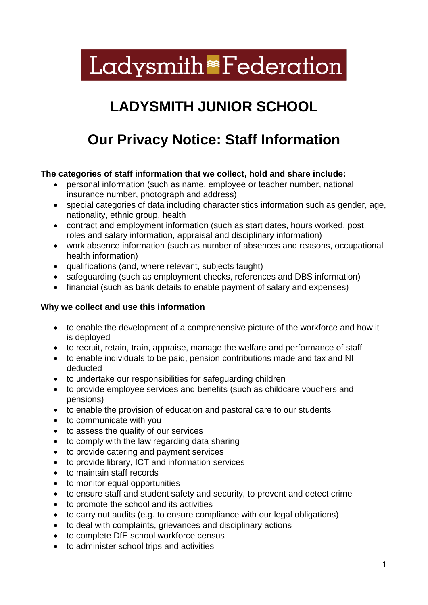# **Ladysmith Federation**

# **LADYSMITH JUNIOR SCHOOL**

# **Our Privacy Notice: Staff Information**

# **The categories of staff information that we collect, hold and share include:**

- personal information (such as name, employee or teacher number, national insurance number, photograph and address)
- special categories of data including characteristics information such as gender, age, nationality, ethnic group, health
- contract and employment information (such as start dates, hours worked, post, roles and salary information, appraisal and disciplinary information)
- work absence information (such as number of absences and reasons, occupational health information)
- qualifications (and, where relevant, subjects taught)
- safeguarding (such as employment checks, references and DBS information)
- financial (such as bank details to enable payment of salary and expenses)

### **Why we collect and use this information**

- to enable the development of a comprehensive picture of the workforce and how it is deployed
- to recruit, retain, train, appraise, manage the welfare and performance of staff
- to enable individuals to be paid, pension contributions made and tax and NI deducted
- to undertake our responsibilities for safeguarding children
- to provide employee services and benefits (such as childcare vouchers and pensions)
- to enable the provision of education and pastoral care to our students
- to communicate with you
- to assess the quality of our services
- to comply with the law regarding data sharing
- to provide catering and payment services
- to provide library, ICT and information services
- to maintain staff records
- to monitor equal opportunities
- to ensure staff and student safety and security, to prevent and detect crime
- to promote the school and its activities
- to carry out audits (e.g. to ensure compliance with our legal obligations)
- to deal with complaints, grievances and disciplinary actions
- to complete DfE school workforce census
- to administer school trips and activities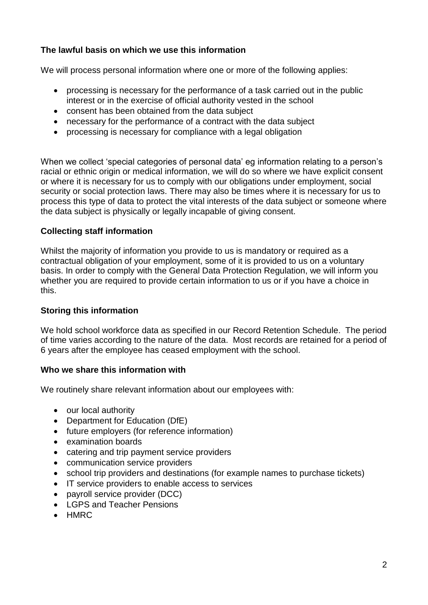# **The lawful basis on which we use this information**

We will process personal information where one or more of the following applies:

- processing is necessary for the performance of a task carried out in the public interest or in the exercise of official authority vested in the school
- consent has been obtained from the data subject
- necessary for the performance of a contract with the data subject
- processing is necessary for compliance with a legal obligation

When we collect 'special categories of personal data' eg information relating to a person's racial or ethnic origin or medical information, we will do so where we have explicit consent or where it is necessary for us to comply with our obligations under employment, social security or social protection laws. There may also be times where it is necessary for us to process this type of data to protect the vital interests of the data subject or someone where the data subject is physically or legally incapable of giving consent.

#### **Collecting staff information**

Whilst the majority of information you provide to us is mandatory or required as a contractual obligation of your employment, some of it is provided to us on a voluntary basis. In order to comply with the General Data Protection Regulation, we will inform you whether you are required to provide certain information to us or if you have a choice in this.

#### **Storing this information**

We hold school workforce data as specified in our Record Retention Schedule. The period of time varies according to the nature of the data. Most records are retained for a period of 6 years after the employee has ceased employment with the school.

#### **Who we share this information with**

We routinely share relevant information about our employees with:

- our local authority
- Department for Education (DfE)
- future employers (for reference information)
- examination boards
- catering and trip payment service providers
- communication service providers
- school trip providers and destinations (for example names to purchase tickets)
- IT service providers to enable access to services
- payroll service provider (DCC)
- LGPS and Teacher Pensions
- HMRC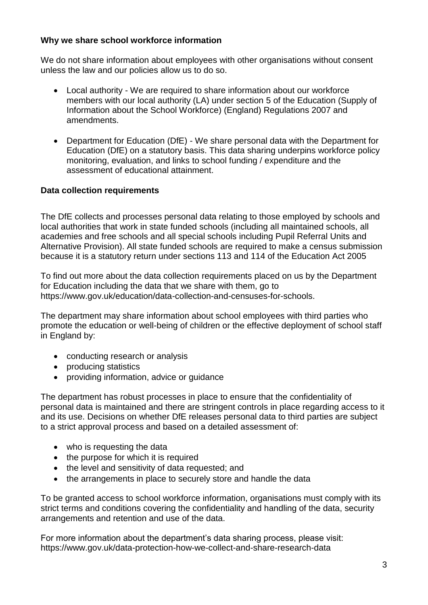### **Why we share school workforce information**

We do not share information about employees with other organisations without consent unless the law and our policies allow us to do so.

- Local authority We are required to share information about our workforce members with our local authority (LA) under section 5 of the Education (Supply of Information about the School Workforce) (England) Regulations 2007 and amendments.
- Department for Education (DfE) We share personal data with the Department for Education (DfE) on a statutory basis. This data sharing underpins workforce policy monitoring, evaluation, and links to school funding / expenditure and the assessment of educational attainment.

# **Data collection requirements**

The DfE collects and processes personal data relating to those employed by schools and local authorities that work in state funded schools (including all maintained schools, all academies and free schools and all special schools including Pupil Referral Units and Alternative Provision). All state funded schools are required to make a census submission because it is a statutory return under sections 113 and 114 of the Education Act 2005

To find out more about the data collection requirements placed on us by the Department for Education including the data that we share with them, go to [https://www.gov.uk/education/data-collection-and-censuses-for-schools.](https://www.gov.uk/education/data-collection-and-censuses-for-schools)

The department may share information about school employees with third parties who promote the education or well-being of children or the effective deployment of school staff in England by:

- conducting research or analysis
- producing statistics
- providing information, advice or quidance

The department has robust processes in place to ensure that the confidentiality of personal data is maintained and there are stringent controls in place regarding access to it and its use. Decisions on whether DfE releases personal data to third parties are subject to a strict approval process and based on a detailed assessment of:

- who is requesting the data
- the purpose for which it is required
- the level and sensitivity of data requested; and
- the arrangements in place to securely store and handle the data

To be granted access to school workforce information, organisations must comply with its strict terms and conditions covering the confidentiality and handling of the data, security arrangements and retention and use of the data.

For more information about the department's data sharing process, please visit: <https://www.gov.uk/data-protection-how-we-collect-and-share-research-data>